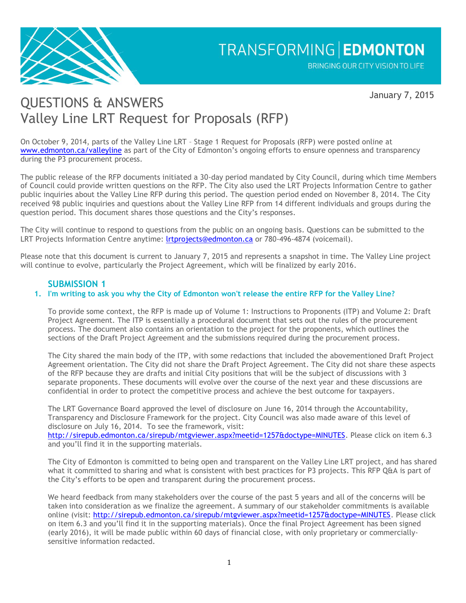

January 7, 2015

## QUESTIONS & ANSWERS Valley Line LRT Request for Proposals (RFP)

On October 9, 2014, parts of the Valley Line LRT – Stage 1 Request for Proposals (RFP) were posted online at [www.edmonton.ca/valleyline](http://www.edmonton.ca/valleyline) as part of the City of Edmonton's ongoing efforts to ensure openness and transparency during the P3 procurement process.

The public release of the RFP documents initiated a 30-day period mandated by City Council, during which time Members of Council could provide written questions on the RFP. The City also used the LRT Projects Information Centre to gather public inquiries about the Valley Line RFP during this period. The question period ended on November 8, 2014. The City received 98 public inquiries and questions about the Valley Line RFP from 14 different individuals and groups during the question period. This document shares those questions and the City's responses.

The City will continue to respond to questions from the public on an ongoing basis. Questions can be submitted to the LRT Projects Information Centre anytime: Irtprojects@edmonton.ca or 780-496-4874 (voicemail).

Please note that this document is current to January 7, 2015 and represents a snapshot in time. The Valley Line project will continue to evolve, particularly the Project Agreement, which will be finalized by early 2016.

## **SUBMISSION 1**

### **1. I'm writing to ask you why the City of Edmonton won't release the entire RFP for the Valley Line?**

To provide some context, the RFP is made up of Volume 1: Instructions to Proponents (ITP) and Volume 2: Draft Project Agreement. The ITP is essentially a procedural document that sets out the rules of the procurement process. The document also contains an orientation to the project for the proponents, which outlines the sections of the Draft Project Agreement and the submissions required during the procurement process.

The City shared the main body of the ITP, with some redactions that included the abovementioned Draft Project Agreement orientation. The City did not share the Draft Project Agreement. The City did not share these aspects of the RFP because they are drafts and initial City positions that will be the subject of discussions with 3 separate proponents. These documents will evolve over the course of the next year and these discussions are confidential in order to protect the competitive process and achieve the best outcome for taxpayers.

The LRT Governance Board approved the level of disclosure on June 16, 2014 through the Accountability, Transparency and Disclosure Framework for the project. City Council was also made aware of this level of disclosure on July 16, 2014. To see the framework, visit:

[http://sirepub.edmonton.ca/sirepub/mtgviewer.aspx?meetid=1257&doctype=MINUTES.](http://sirepub.edmonton.ca/sirepub/mtgviewer.aspx?meetid=1257&doctype=MINUTES) Please click on item 6.3 and you'll find it in the supporting materials.

The City of Edmonton is committed to being open and transparent on the Valley Line LRT project, and has shared what it committed to sharing and what is consistent with best practices for P3 projects. This RFP Q&A is part of the City's efforts to be open and transparent during the procurement process.

We heard feedback from many stakeholders over the course of the past 5 years and all of the concerns will be taken into consideration as we finalize the agreement. A summary of our stakeholder commitments is available online (visit: [http://sirepub.edmonton.ca/sirepub/mtgviewer.aspx?meetid=1257&doctype=MINUTES.](http://sirepub.edmonton.ca/sirepub/mtgviewer.aspx?meetid=1257&doctype=MINUTES) Please click on item 6.3 and you'll find it in the supporting materials). Once the final Project Agreement has been signed (early 2016), it will be made public within 60 days of financial close, with only proprietary or commerciallysensitive information redacted.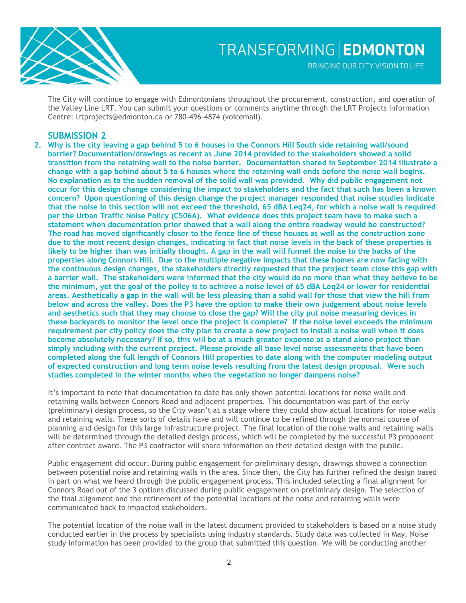

The City will continue to engage with Edmontonians throughout the procurement, construction, and operation of the Valley Line LRT. You can submit your questions or comments anytime through the LRT Projects Information Centre: lrtprojects@edmonton.ca or 780-496-4874 (voicemail).

### **SUBMISSION 2**

**2. Why is the city leaving a gap behind 5 to 6 houses in the Connors Hill South side retaining wall/sound barrier? Documentation/drawings as recent as June 2014 provided to the stakeholders showed a solid transition from the retaining wall to the noise barrier. Documentation shared in September 2014 illustrate a change with a gap behind about 5 to 6 houses where the retaining wall ends before the noise wall begins. No explanation as to the sudden removal of the solid wall was provided. Why did public engagement not occur for this design change considering the impact to stakeholders and the fact that such has been a known concern? Upon questioning of this design change the project manager responded that noise studies indicate that the noise in this section will not exceed the threshold, 65 dBA Leq24, for which a noise wall is required per the Urban Traffic Noise Policy (C506A). What evidence does this project team have to make such a statement when documentation prior showed that a wall along the entire roadway would be constructed? The road has moved significantly closer to the fence line of these houses as well as the construction zone due to the most recent design changes, indicating in fact that noise levels in the back of these properties is likely to be higher than was initially thought. A gap in the wall will funnel the noise to the backs of the properties along Connors Hill. Due to the multiple negative impacts that these homes are now facing with the continuous design changes, the stakeholders directly requested that the project team close this gap with a barrier wall. The stakeholders were informed that the city would do no more than what they believe to be the minimum, yet the goal of the policy is to achieve a noise level of 65 dBA Leq24 or lower for residential areas. Aesthetically a gap in the wall will be less pleasing than a solid wall for those that view the hill from below and across the valley. Does the P3 have the option to make their own judgement about noise levels and aesthetics such that they may choose to close the gap? Will the city put noise measuring devices in these backyards to monitor the level once the project is complete? If the noise level exceeds the minimum requirement per city policy does the city plan to create a new project to install a noise wall when it does become absolutely necessary? If so, this will be at a much greater expense as a stand alone project than simply including with the current project. Please provide all base level noise assessments that have been completed along the full length of Connors Hill properties to date along with the computer modeling output of expected construction and long term noise levels resulting from the latest design proposal. Were such studies completed in the winter months when the vegetation no longer dampens noise?**

It's important to note that documentation to date has only shown potential locations for noise walls and retaining walls between Connors Road and adjacent properties. This documentation was part of the early (preliminary) design process, so the City wasn't at a stage where they could show actual locations for noise walls and retaining walls. These sorts of details have and will continue to be refined through the normal course of planning and design for this large infrastructure project. The final location of the noise walls and retaining walls will be determined through the detailed design process, which will be completed by the successful P3 proponent after contract award. The P3 contractor will share information on their detailed design with the public.

Public engagement did occur. During public engagement for preliminary design, drawings showed a connection between potential noise and retaining walls in the area. Since then, the City has further refined the design based in part on what we heard through the public engagement process. This included selecting a final alignment for Connors Road out of the 3 options discussed during public engagement on preliminary design. The selection of the final alignment and the refinement of the potential locations of the noise and retaining walls were communicated back to impacted stakeholders.

The potential location of the noise wall in the latest document provided to stakeholders is based on a noise study conducted earlier in the process by specialists using industry standards. Study data was collected in May. Noise study information has been provided to the group that submitted this question. We will be conducting another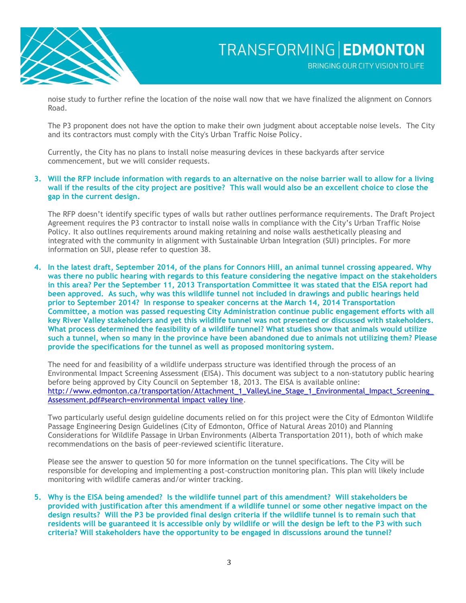

noise study to further refine the location of the noise wall now that we have finalized the alignment on Connors Road.

The P3 proponent does not have the option to make their own judgment about acceptable noise levels. The City and its contractors must comply with the City's Urban Traffic Noise Policy.

Currently, the City has no plans to install noise measuring devices in these backyards after service commencement, but we will consider requests.

**3. Will the RFP include information with regards to an alternative on the noise barrier wall to allow for a living wall if the results of the city project are positive? This wall would also be an excellent choice to close the gap in the current design.**

The RFP doesn't identify specific types of walls but rather outlines performance requirements. The Draft Project Agreement requires the P3 contractor to install noise walls in compliance with the City's Urban Traffic Noise Policy. It also outlines requirements around making retaining and noise walls aesthetically pleasing and integrated with the community in alignment with Sustainable Urban Integration (SUI) principles. For more information on SUI, please refer to question 38.

**4. In the latest draft, September 2014, of the plans for Connors Hill, an animal tunnel crossing appeared. Why was there no public hearing with regards to this feature considering the negative impact on the stakeholders in this area? Per the September 11, 2013 Transportation Committee it was stated that the EISA report had been approved. As such, why was this wildlife tunnel not included in drawings and public hearings held prior to September 2014? In response to speaker concerns at the March 14, 2014 Transportation Committee, a motion was passed requesting City Administration continue public engagement efforts with all key River Valley stakeholders and yet this wildlife tunnel was not presented or discussed with stakeholders. What process determined the feasibility of a wildlife tunnel? What studies show that animals would utilize such a tunnel, when so many in the province have been abandoned due to animals not utilizing them? Please provide the specifications for the tunnel as well as proposed monitoring system.**

The need for and feasibility of a wildlife underpass structure was identified through the process of an Environmental Impact Screening Assessment (EISA). This document was subject to a non-statutory public hearing before being approved by City Council on September 18, 2013. The EISA is available online: [http://www.edmonton.ca/transportation/Attachment\\_1\\_ValleyLine\\_Stage\\_1\\_Environmental\\_Impact\\_Screening\\_](http://www.edmonton.ca/transportation/Attachment_1_ValleyLine_Stage_1_Environmental_Impact_Screening_Assessment.pdf%23search=environmental%20impact%20valley%20line) [Assessment.pdf#search=environmental impact valley line.](http://www.edmonton.ca/transportation/Attachment_1_ValleyLine_Stage_1_Environmental_Impact_Screening_Assessment.pdf%23search=environmental%20impact%20valley%20line)

Two particularly useful design guideline documents relied on for this project were the City of Edmonton Wildlife Passage Engineering Design Guidelines (City of Edmonton, Office of Natural Areas 2010) and Planning Considerations for Wildlife Passage in Urban Environments (Alberta Transportation 2011), both of which make recommendations on the basis of peer-reviewed scientific literature.

Please see the answer to question 50 for more information on the tunnel specifications. The City will be responsible for developing and implementing a post-construction monitoring plan. This plan will likely include monitoring with wildlife cameras and/or winter tracking.

**5. Why is the EISA being amended? Is the wildlife tunnel part of this amendment? Will stakeholders be provided with justification after this amendment if a wildlife tunnel or some other negative impact on the design results? Will the P3 be provided final design criteria if the wildlife tunnel is to remain such that residents will be guaranteed it is accessible only by wildlife or will the design be left to the P3 with such criteria? Will stakeholders have the opportunity to be engaged in discussions around the tunnel?**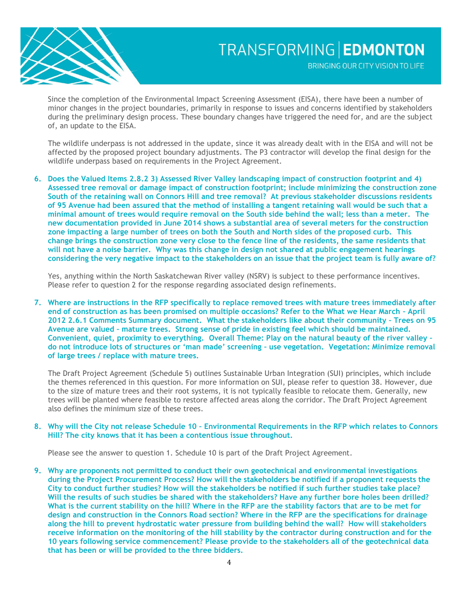

Since the completion of the Environmental Impact Screening Assessment (EISA), there have been a number of minor changes in the project boundaries, primarily in response to issues and concerns identified by stakeholders during the preliminary design process. These boundary changes have triggered the need for, and are the subject of, an update to the EISA.

The wildlife underpass is not addressed in the update, since it was already dealt with in the EISA and will not be affected by the proposed project boundary adjustments. The P3 contractor will develop the final design for the wildlife underpass based on requirements in the Project Agreement.

**6. Does the Valued Items 2.8.2 3) Assessed River Valley landscaping impact of construction footprint and 4) Assessed tree removal or damage impact of construction footprint; include minimizing the construction zone South of the retaining wall on Connors Hill and tree removal? At previous stakeholder discussions residents of 95 Avenue had been assured that the method of installing a tangent retaining wall would be such that a minimal amount of trees would require removal on the South side behind the wall; less than a meter. The new documentation provided in June 2014 shows a substantial area of several meters for the construction zone impacting a large number of trees on both the South and North sides of the proposed curb. This change brings the construction zone very close to the fence line of the residents, the same residents that will not have a noise barrier. Why was this change in design not shared at public engagement hearings considering the very negative impact to the stakeholders on an issue that the project team is fully aware of?**

Yes, anything within the North Saskatchewan River valley (NSRV) is subject to these performance incentives. Please refer to question 2 for the response regarding associated design refinements.

**7. Where are instructions in the RFP specifically to replace removed trees with mature trees immediately after end of construction as has been promised on multiple occasions? Refer to the What we Hear March – April 2012 2.6.1 Comments Summary document. What the stakeholders like about their community – Trees on 95 Avenue are valued – mature trees. Strong sense of pride in existing feel which should be maintained. Convenient, quiet, proximity to everything. Overall Theme: Play on the natural beauty of the river valley – do not introduce lots of structures or 'man made' screening – use vegetation. Vegetation: Minimize removal of large trees / replace with mature trees.**

The Draft Project Agreement (Schedule 5) outlines Sustainable Urban Integration (SUI) principles, which include the themes referenced in this question. For more information on SUI, please refer to question 38. However, due to the size of mature trees and their root systems, it is not typically feasible to relocate them. Generally, new trees will be planted where feasible to restore affected areas along the corridor. The Draft Project Agreement also defines the minimum size of these trees.

#### **8. Why will the City not release Schedule 10 – Environmental Requirements in the RFP which relates to Connors Hill? The city knows that it has been a contentious issue throughout.**

Please see the answer to question 1. Schedule 10 is part of the Draft Project Agreement.

**9. Why are proponents not permitted to conduct their own geotechnical and environmental investigations during the Project Procurement Process? How will the stakeholders be notified if a proponent requests the City to conduct further studies? How will the stakeholders be notified if such further studies take place? Will the results of such studies be shared with the stakeholders? Have any further bore holes been drilled? What is the current stability on the hill? Where in the RFP are the stability factors that are to be met for design and construction in the Connors Road section? Where in the RFP are the specifications for drainage along the hill to prevent hydrostatic water pressure from building behind the wall? How will stakeholders receive information on the monitoring of the hill stability by the contractor during construction and for the 10 years following service commencement? Please provide to the stakeholders all of the geotechnical data that has been or will be provided to the three bidders.**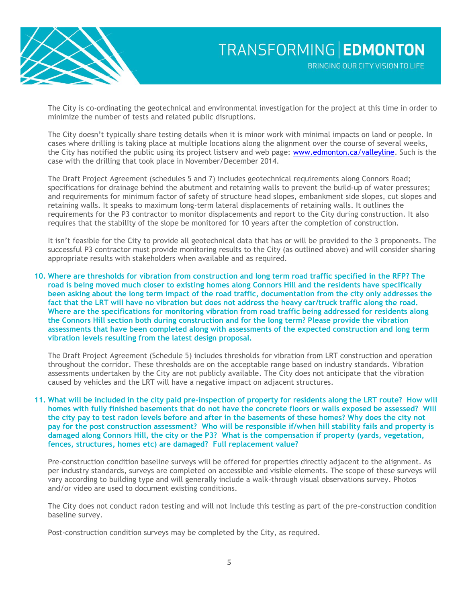

The City is co-ordinating the geotechnical and environmental investigation for the project at this time in order to minimize the number of tests and related public disruptions.

The City doesn't typically share testing details when it is minor work with minimal impacts on land or people. In cases where drilling is taking place at multiple locations along the alignment over the course of several weeks, the City has notified the public using its project listsery and web page: [www.edmonton.ca/valleyline.](http://www.edmonton.ca/valleyline) Such is the case with the drilling that took place in November/December 2014.

The Draft Project Agreement (schedules 5 and 7) includes geotechnical requirements along Connors Road; specifications for drainage behind the abutment and retaining walls to prevent the build-up of water pressures; and requirements for minimum factor of safety of structure head slopes, embankment side slopes, cut slopes and retaining walls. It speaks to maximum long-term lateral displacements of retaining walls. It outlines the requirements for the P3 contractor to monitor displacements and report to the City during construction. It also requires that the stability of the slope be monitored for 10 years after the completion of construction.

It isn't feasible for the City to provide all geotechnical data that has or will be provided to the 3 proponents. The successful P3 contractor must provide monitoring results to the City (as outlined above) and will consider sharing appropriate results with stakeholders when available and as required.

**10. Where are thresholds for vibration from construction and long term road traffic specified in the RFP? The road is being moved much closer to existing homes along Connors Hill and the residents have specifically been asking about the long term impact of the road traffic, documentation from the city only addresses the fact that the LRT will have no vibration but does not address the heavy car/truck traffic along the road. Where are the specifications for monitoring vibration from road traffic being addressed for residents along the Connors Hill section both during construction and for the long term? Please provide the vibration assessments that have been completed along with assessments of the expected construction and long term vibration levels resulting from the latest design proposal.**

The Draft Project Agreement (Schedule 5) includes thresholds for vibration from LRT construction and operation throughout the corridor. These thresholds are on the acceptable range based on industry standards. Vibration assessments undertaken by the City are not publicly available. The City does not anticipate that the vibration caused by vehicles and the LRT will have a negative impact on adjacent structures.

#### **11. What will be included in the city paid pre-inspection of property for residents along the LRT route? How will homes with fully finished basements that do not have the concrete floors or walls exposed be assessed? Will the city pay to test radon levels before and after in the basements of these homes? Why does the city not pay for the post construction assessment? Who will be responsible if/when hill stability fails and property is damaged along Connors Hill, the city or the P3? What is the compensation if property (yards, vegetation, fences, structures, homes etc) are damaged? Full replacement value?**

Pre-construction condition baseline surveys will be offered for properties directly adjacent to the alignment. As per industry standards, surveys are completed on accessible and visible elements. The scope of these surveys will vary according to building type and will generally include a walk-through visual observations survey. Photos and/or video are used to document existing conditions.

The City does not conduct radon testing and will not include this testing as part of the pre-construction condition baseline survey.

Post-construction condition surveys may be completed by the City, as required.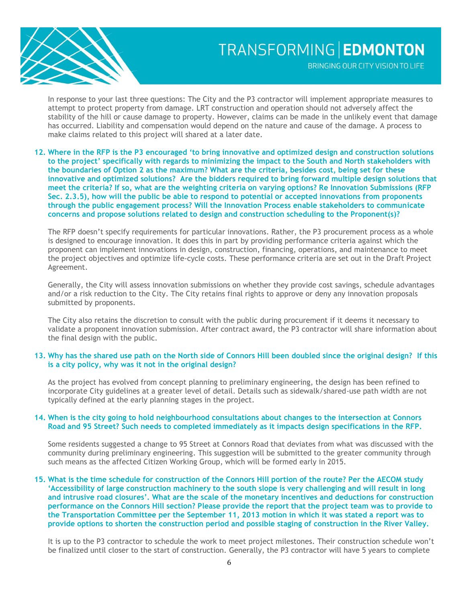

BRINGING OUR CITY VISION TO LIFE

In response to your last three questions: The City and the P3 contractor will implement appropriate measures to attempt to protect property from damage. LRT construction and operation should not adversely affect the stability of the hill or cause damage to property. However, claims can be made in the unlikely event that damage has occurred. Liability and compensation would depend on the nature and cause of the damage. A process to make claims related to this project will shared at a later date.

**12. Where in the RFP is the P3 encouraged 'to bring innovative and optimized design and construction solutions to the project' specifically with regards to minimizing the impact to the South and North stakeholders with the boundaries of Option 2 as the maximum? What are the criteria, besides cost, being set for these innovative and optimized solutions? Are the bidders required to bring forward multiple design solutions that meet the criteria? If so, what are the weighting criteria on varying options? Re Innovation Submissions (RFP Sec. 2.3.5), how will the public be able to respond to potential or accepted innovations from proponents through the public engagement process? Will the Innovation Process enable stakeholders to communicate concerns and propose solutions related to design and construction scheduling to the Proponent(s)?**

The RFP doesn't specify requirements for particular innovations. Rather, the P3 procurement process as a whole is designed to encourage innovation. It does this in part by providing performance criteria against which the proponent can implement innovations in design, construction, financing, operations, and maintenance to meet the project objectives and optimize life-cycle costs. These performance criteria are set out in the Draft Project Agreement.

Generally, the City will assess innovation submissions on whether they provide cost savings, schedule advantages and/or a risk reduction to the City. The City retains final rights to approve or deny any innovation proposals submitted by proponents.

The City also retains the discretion to consult with the public during procurement if it deems it necessary to validate a proponent innovation submission. After contract award, the P3 contractor will share information about the final design with the public.

#### **13. Why has the shared use path on the North side of Connors Hill been doubled since the original design? If this is a city policy, why was it not in the original design?**

As the project has evolved from concept planning to preliminary engineering, the design has been refined to incorporate City guidelines at a greater level of detail. Details such as sidewalk/shared-use path width are not typically defined at the early planning stages in the project.

#### **14. When is the city going to hold neighbourhood consultations about changes to the intersection at Connors Road and 95 Street? Such needs to completed immediately as it impacts design specifications in the RFP.**

Some residents suggested a change to 95 Street at Connors Road that deviates from what was discussed with the community during preliminary engineering. This suggestion will be submitted to the greater community through such means as the affected Citizen Working Group, which will be formed early in 2015.

**15. What is the time schedule for construction of the Connors Hill portion of the route? Per the AECOM study 'Accessibility of large construction machinery to the south slope is very challenging and will result in long and intrusive road closures'. What are the scale of the monetary incentives and deductions for construction performance on the Connors Hill section? Please provide the report that the project team was to provide to the Transportation Committee per the September 11, 2013 motion in which it was stated a report was to provide options to shorten the construction period and possible staging of construction in the River Valley.**

It is up to the P3 contractor to schedule the work to meet project milestones. Their construction schedule won't be finalized until closer to the start of construction. Generally, the P3 contractor will have 5 years to complete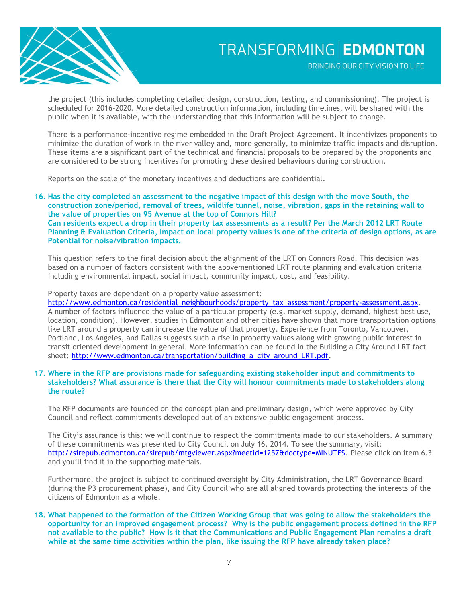

BRINGING OUR CITY VISION TO LIFE

the project (this includes completing detailed design, construction, testing, and commissioning). The project is scheduled for 2016-2020. More detailed construction information, including timelines, will be shared with the public when it is available, with the understanding that this information will be subject to change.

There is a performance-incentive regime embedded in the Draft Project Agreement. It incentivizes proponents to minimize the duration of work in the river valley and, more generally, to minimize traffic impacts and disruption. These items are a significant part of the technical and financial proposals to be prepared by the proponents and are considered to be strong incentives for promoting these desired behaviours during construction.

Reports on the scale of the monetary incentives and deductions are confidential.

**16. Has the city completed an assessment to the negative impact of this design with the move South, the construction zone/period, removal of trees, wildlife tunnel, noise, vibration, gaps in the retaining wall to the value of properties on 95 Avenue at the top of Connors Hill? Can residents expect a drop in their property tax assessments as a result? Per the March 2012 LRT Route Planning & Evaluation Criteria, Impact on local property values is one of the criteria of design options, as are Potential for noise/vibration impacts.**

This question refers to the final decision about the alignment of the LRT on Connors Road. This decision was based on a number of factors consistent with the abovementioned LRT route planning and evaluation criteria including environmental impact, social impact, community impact, cost, and feasibility.

Property taxes are dependent on a property value assessment:

[http://www.edmonton.ca/residential\\_neighbourhoods/property\\_tax\\_assessment/property-assessment.aspx.](http://www.edmonton.ca/residential_neighbourhoods/property_tax_assessment/property-assessment.aspx) A number of factors influence the value of a particular property (e.g. market supply, demand, highest best use, location, condition). However, studies in Edmonton and other cities have shown that more transportation options like LRT around a property can increase the value of that property. Experience from Toronto, Vancouver, Portland, Los Angeles, and Dallas suggests such a rise in property values along with growing public interest in transit oriented development in general. More information can be found in the Building a City Around LRT fact sheet: [http://www.edmonton.ca/transportation/building\\_a\\_city\\_around\\_LRT.pdf.](http://www.edmonton.ca/transportation/building_a_city_around_LRT.pdf)

#### **17. Where in the RFP are provisions made for safeguarding existing stakeholder input and commitments to stakeholders? What assurance is there that the City will honour commitments made to stakeholders along the route?**

The RFP documents are founded on the concept plan and preliminary design, which were approved by City Council and reflect commitments developed out of an extensive public engagement process.

The City's assurance is this: we will continue to respect the commitments made to our stakeholders. A summary of these commitments was presented to City Council on July 16, 2014. To see the summary, visit: [http://sirepub.edmonton.ca/sirepub/mtgviewer.aspx?meetid=1257&doctype=MINUTES.](http://sirepub.edmonton.ca/sirepub/mtgviewer.aspx?meetid=1257&doctype=MINUTES) Please click on item 6.3 and you'll find it in the supporting materials.

Furthermore, the project is subject to continued oversight by City Administration, the LRT Governance Board (during the P3 procurement phase), and City Council who are all aligned towards protecting the interests of the citizens of Edmonton as a whole.

**18. What happened to the formation of the Citizen Working Group that was going to allow the stakeholders the opportunity for an improved engagement process? Why is the public engagement process defined in the RFP not available to the public? How is it that the Communications and Public Engagement Plan remains a draft while at the same time activities within the plan, like issuing the RFP have already taken place?**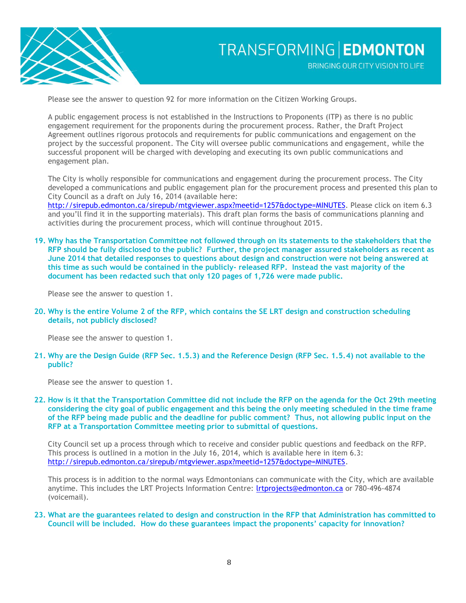

Please see the answer to question 92 for more information on the Citizen Working Groups.

A public engagement process is not established in the Instructions to Proponents (ITP) as there is no public engagement requirement for the proponents during the procurement process. Rather, the Draft Project Agreement outlines rigorous protocols and requirements for public communications and engagement on the project by the successful proponent. The City will oversee public communications and engagement, while the successful proponent will be charged with developing and executing its own public communications and engagement plan.

The City is wholly responsible for communications and engagement during the procurement process. The City developed a communications and public engagement plan for the procurement process and presented this plan to City Council as a draft on July 16, 2014 (available here:

[http://sirepub.edmonton.ca/sirepub/mtgviewer.aspx?meetid=1257&doctype=MINUTES.](http://sirepub.edmonton.ca/sirepub/mtgviewer.aspx?meetid=1257&doctype=MINUTES) Please click on item 6.3 and you'll find it in the supporting materials). This draft plan forms the basis of communications planning and activities during the procurement process, which will continue throughout 2015.

**19. Why has the Transportation Committee not followed through on its statements to the stakeholders that the RFP should be fully disclosed to the public? Further, the project manager assured stakeholders as recent as June 2014 that detailed responses to questions about design and construction were not being answered at this time as such would be contained in the publicly- released RFP. Instead the vast majority of the document has been redacted such that only 120 pages of 1,726 were made public.**

Please see the answer to question 1.

**20. Why is the entire Volume 2 of the RFP, which contains the SE LRT design and construction scheduling details, not publicly disclosed?**

Please see the answer to question 1.

**21. Why are the Design Guide (RFP Sec. 1.5.3) and the Reference Design (RFP Sec. 1.5.4) not available to the public?**

Please see the answer to question 1.

**22. How is it that the Transportation Committee did not include the RFP on the agenda for the Oct 29th meeting considering the city goal of public engagement and this being the only meeting scheduled in the time frame of the RFP being made public and the deadline for public comment? Thus, not allowing public input on the RFP at a Transportation Committee meeting prior to submittal of questions.**

City Council set up a process through which to receive and consider public questions and feedback on the RFP. This process is outlined in a motion in the July 16, 2014, which is available here in item 6.3: [http://sirepub.edmonton.ca/sirepub/mtgviewer.aspx?meetid=1257&doctype=MINUTES.](http://sirepub.edmonton.ca/sirepub/mtgviewer.aspx?meetid=1257&doctype=MINUTES)

This process is in addition to the normal ways Edmontonians can communicate with the City, which are available anytime. This includes the LRT Projects Information Centre: Irtprojects@edmonton.ca or 780-496-4874 (voicemail).

**23. What are the guarantees related to design and construction in the RFP that Administration has committed to Council will be included. How do these guarantees impact the proponents' capacity for innovation?**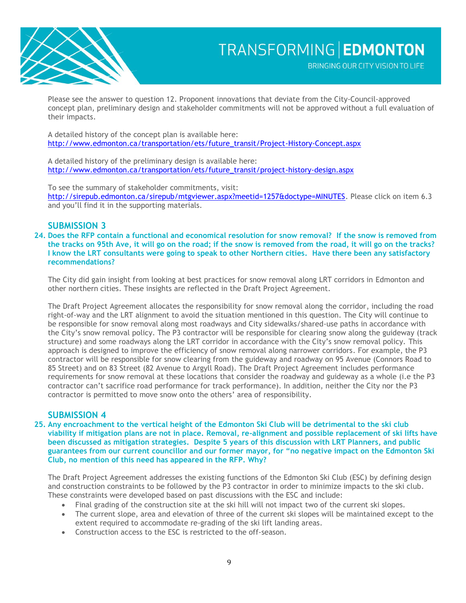

Please see the answer to question 12. Proponent innovations that deviate from the City-Council-approved concept plan, preliminary design and stakeholder commitments will not be approved without a full evaluation of their impacts.

A detailed history of the concept plan is available here: [http://www.edmonton.ca/transportation/ets/future\\_transit/Project-History-Concept.aspx](http://www.edmonton.ca/transportation/ets/future_transit/Project-History-Concept.aspx)

A detailed history of the preliminary design is available here: [http://www.edmonton.ca/transportation/ets/future\\_transit/project-history-design.aspx](http://www.edmonton.ca/transportation/ets/future_transit/project-history-design.aspx)

To see the summary of stakeholder commitments, visit:

[http://sirepub.edmonton.ca/sirepub/mtgviewer.aspx?meetid=1257&doctype=MINUTES.](http://sirepub.edmonton.ca/sirepub/mtgviewer.aspx?meetid=1257&doctype=MINUTES) Please click on item 6.3 and you'll find it in the supporting materials.

## **SUBMISSION 3**

**24. Does the RFP contain a functional and economical resolution for snow removal? If the snow is removed from the tracks on 95th Ave, it will go on the road; if the snow is removed from the road, it will go on the tracks? I know the LRT consultants were going to speak to other Northern cities. Have there been any satisfactory recommendations?**

The City did gain insight from looking at best practices for snow removal along LRT corridors in Edmonton and other northern cities. These insights are reflected in the Draft Project Agreement.

The Draft Project Agreement allocates the responsibility for snow removal along the corridor, including the road right-of-way and the LRT alignment to avoid the situation mentioned in this question. The City will continue to be responsible for snow removal along most roadways and City sidewalks/shared-use paths in accordance with the City's snow removal policy. The P3 contractor will be responsible for clearing snow along the guideway (track structure) and some roadways along the LRT corridor in accordance with the City's snow removal policy. This approach is designed to improve the efficiency of snow removal along narrower corridors. For example, the P3 contractor will be responsible for snow clearing from the guideway and roadway on 95 Avenue (Connors Road to 85 Street) and on 83 Street (82 Avenue to Argyll Road). The Draft Project Agreement includes performance requirements for snow removal at these locations that consider the roadway and guideway as a whole (i.e the P3 contractor can't sacrifice road performance for track performance). In addition, neither the City nor the P3 contractor is permitted to move snow onto the others' area of responsibility.

## **SUBMISSION 4**

**25. Any encroachment to the vertical height of the Edmonton Ski Club will be detrimental to the ski club viability if mitigation plans are not in place. Removal, re-alignment and possible replacement of ski lifts have been discussed as mitigation strategies. Despite 5 years of this discussion with LRT Planners, and public guarantees from our current councillor and our former mayor, for "no negative impact on the Edmonton Ski Club, no mention of this need has appeared in the RFP. Why?**

The Draft Project Agreement addresses the existing functions of the Edmonton Ski Club (ESC) by defining design and construction constraints to be followed by the P3 contractor in order to minimize impacts to the ski club. These constraints were developed based on past discussions with the ESC and include:

- Final grading of the construction site at the ski hill will not impact two of the current ski slopes.
- The current slope, area and elevation of three of the current ski slopes will be maintained except to the extent required to accommodate re-grading of the ski lift landing areas.
- Construction access to the ESC is restricted to the off-season.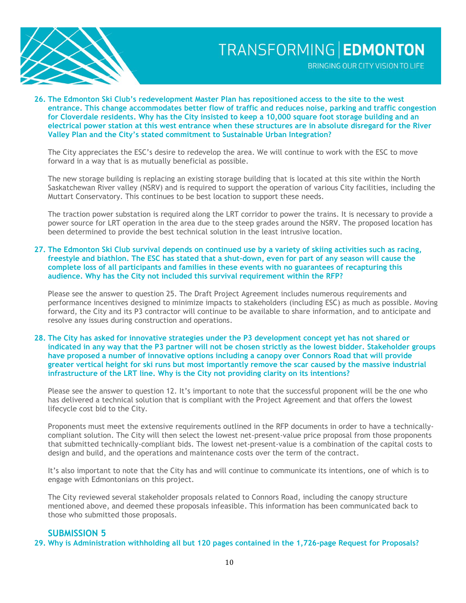

BRINGING OUR CITY VISION TO LIFE

**26. The Edmonton Ski Club's redevelopment Master Plan has repositioned access to the site to the west entrance. This change accommodates better flow of traffic and reduces noise, parking and traffic congestion for Cloverdale residents. Why has the City insisted to keep a 10,000 square foot storage building and an electrical power station at this west entrance when these structures are in absolute disregard for the River Valley Plan and the City's stated commitment to Sustainable Urban Integration?**

The City appreciates the ESC's desire to redevelop the area. We will continue to work with the ESC to move forward in a way that is as mutually beneficial as possible.

The new storage building is replacing an existing storage building that is located at this site within the North Saskatchewan River valley (NSRV) and is required to support the operation of various City facilities, including the Muttart Conservatory. This continues to be best location to support these needs.

The traction power substation is required along the LRT corridor to power the trains. It is necessary to provide a power source for LRT operation in the area due to the steep grades around the NSRV. The proposed location has been determined to provide the best technical solution in the least intrusive location.

**27. The Edmonton Ski Club survival depends on continued use by a variety of skiing activities such as racing, freestyle and biathlon. The ESC has stated that a shut-down, even for part of any season will cause the complete loss of all participants and families in these events with no guarantees of recapturing this audience. Why has the City not included this survival requirement within the RFP?**

Please see the answer to question 25. The Draft Project Agreement includes numerous requirements and performance incentives designed to minimize impacts to stakeholders (including ESC) as much as possible. Moving forward, the City and its P3 contractor will continue to be available to share information, and to anticipate and resolve any issues during construction and operations.

**28. The City has asked for innovative strategies under the P3 development concept yet has not shared or indicated in any way that the P3 partner will not be chosen strictly as the lowest bidder. Stakeholder groups have proposed a number of innovative options including a canopy over Connors Road that will provide greater vertical height for ski runs but most importantly remove the scar caused by the massive industrial infrastructure of the LRT line. Why is the City not providing clarity on its intentions?**

Please see the answer to question 12. It's important to note that the successful proponent will be the one who has delivered a technical solution that is compliant with the Project Agreement and that offers the lowest lifecycle cost bid to the City.

Proponents must meet the extensive requirements outlined in the RFP documents in order to have a technicallycompliant solution. The City will then select the lowest net-present-value price proposal from those proponents that submitted technically-compliant bids. The lowest net-present-value is a combination of the capital costs to design and build, and the operations and maintenance costs over the term of the contract.

It's also important to note that the City has and will continue to communicate its intentions, one of which is to engage with Edmontonians on this project.

The City reviewed several stakeholder proposals related to Connors Road, including the canopy structure mentioned above, and deemed these proposals infeasible. This information has been communicated back to those who submitted those proposals.

### **SUBMISSION 5**

**29. Why is Administration withholding all but 120 pages contained in the 1,726-page Request for Proposals?**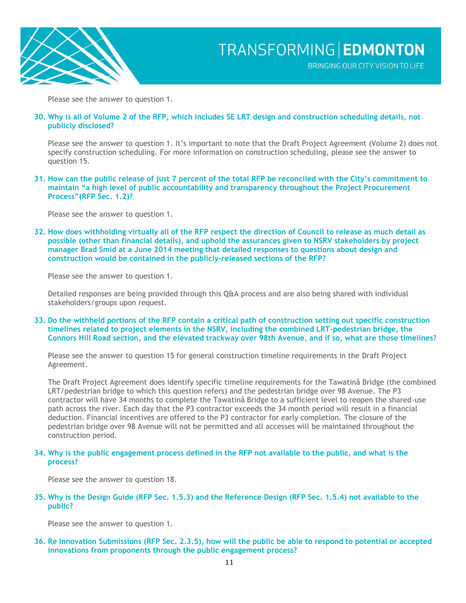

Please see the answer to question 1.

#### **30. Why is all of Volume 2 of the RFP, which includes SE LRT design and construction scheduling details, not publicly disclosed?**

Please see the answer to question 1. It's important to note that the Draft Project Agreement (Volume 2) does not specify construction scheduling. For more information on construction scheduling, please see the answer to question 15.

**31. How can the public release of just 7 percent of the total RFP be reconciled with the City's commitment to maintain "a high level of public accountability and transparency throughout the Project Procurement Process"(RFP Sec. 1.2)?**

Please see the answer to question 1.

**32. How does withholding virtually all of the RFP respect the direction of Council to release as much detail as possible (other than financial details), and uphold the assurances given to NSRV stakeholders by project manager Brad Smid at a June 2014 meeting that detailed responses to questions about design and construction would be contained in the publicly-released sections of the RFP?**

Please see the answer to question 1.

Detailed responses are being provided through this Q&A process and are also being shared with individual stakeholders/groups upon request.

**33. Do the withheld portions of the RFP contain a critical path of construction setting out specific construction timelines related to project elements in the NSRV, including the combined LRT-pedestrian bridge, the Connors Hill Road section, and the elevated trackway over 98th Avenue, and if so, what are those timelines?**

Please see the answer to question 15 for general construction timeline requirements in the Draft Project Agreement.

The Draft Project Agreement does identify specific timeline requirements for the Tawatinâ Bridge (the combined LRT/pedestrian bridge to which this question refers) and the pedestrian bridge over 98 Avenue. The P3 contractor will have 34 months to complete the Tawatinâ Bridge to a sufficient level to reopen the shared-use path across the river. Each day that the P3 contractor exceeds the 34 month period will result in a financial deduction. Financial incentives are offered to the P3 contractor for early completion. The closure of the pedestrian bridge over 98 Avenue will not be permitted and all accesses will be maintained throughout the construction period.

#### **34. Why is the public engagement process defined in the RFP not available to the public, and what is the process?**

Please see the answer to question 18.

**35. Why is the Design Guide (RFP Sec. 1.5.3) and the Reference Design (RFP Sec. 1.5.4) not available to the public?**

Please see the answer to question 1.

**36. Re Innovation Submissions (RFP Sec. 2.3.5), how will the public be able to respond to potential or accepted innovations from proponents through the public engagement process?**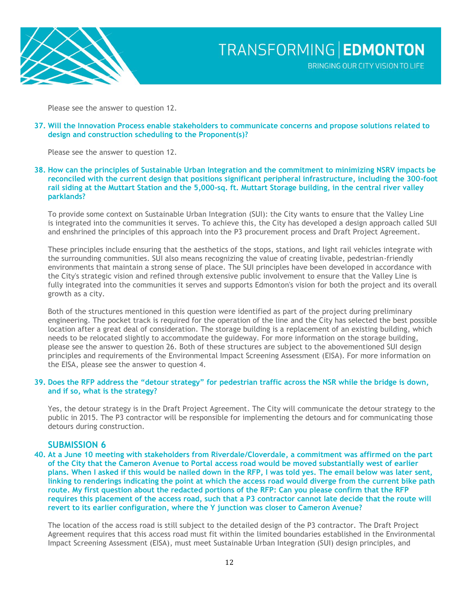

Please see the answer to question 12.

**37. Will the Innovation Process enable stakeholders to communicate concerns and propose solutions related to design and construction scheduling to the Proponent(s)?**

Please see the answer to question 12.

**38. How can the principles of Sustainable Urban Integration and the commitment to minimizing NSRV impacts be reconciled with the current design that positions significant peripheral infrastructure, including the 300-foot rail siding at the Muttart Station and the 5,000-sq. ft. Muttart Storage building, in the central river valley parklands?**

To provide some context on Sustainable Urban Integration (SUI): the City wants to ensure that the Valley Line is integrated into the communities it serves. To achieve this, the City has developed a design approach called SUI and enshrined the principles of this approach into the P3 procurement process and Draft Project Agreement.

These principles include ensuring that the aesthetics of the stops, stations, and light rail vehicles integrate with the surrounding communities. SUI also means recognizing the value of creating livable, pedestrian-friendly environments that maintain a strong sense of place. The SUI principles have been developed in accordance with the City's strategic vision and refined through extensive public involvement to ensure that the Valley Line is fully integrated into the communities it serves and supports Edmonton's vision for both the project and its overall growth as a city.

Both of the structures mentioned in this question were identified as part of the project during preliminary engineering. The pocket track is required for the operation of the line and the City has selected the best possible location after a great deal of consideration. The storage building is a replacement of an existing building, which needs to be relocated slightly to accommodate the guideway. For more information on the storage building, please see the answer to question 26. Both of these structures are subject to the abovementioned SUI design principles and requirements of the Environmental Impact Screening Assessment (EISA). For more information on the EISA, please see the answer to question 4.

#### **39. Does the RFP address the "detour strategy" for pedestrian traffic across the NSR while the bridge is down, and if so, what is the strategy?**

Yes, the detour strategy is in the Draft Project Agreement. The City will communicate the detour strategy to the public in 2015. The P3 contractor will be responsible for implementing the detours and for communicating those detours during construction.

### **SUBMISSION 6**

**40. At a June 10 meeting with stakeholders from Riverdale/Cloverdale, a commitment was affirmed on the part of the City that the Cameron Avenue to Portal access road would be moved substantially west of earlier plans. When I asked if this would be nailed down in the RFP, I was told yes. The email below was later sent, linking to renderings indicating the point at which the access road would diverge from the current bike path route. My first question about the redacted portions of the RFP: Can you please confirm that the RFP requires this placement of the access road, such that a P3 contractor cannot late decide that the route will revert to its earlier configuration, where the Y junction was closer to Cameron Avenue?**

The location of the access road is still subject to the detailed design of the P3 contractor. The Draft Project Agreement requires that this access road must fit within the limited boundaries established in the Environmental Impact Screening Assessment (EISA), must meet Sustainable Urban Integration (SUI) design principles, and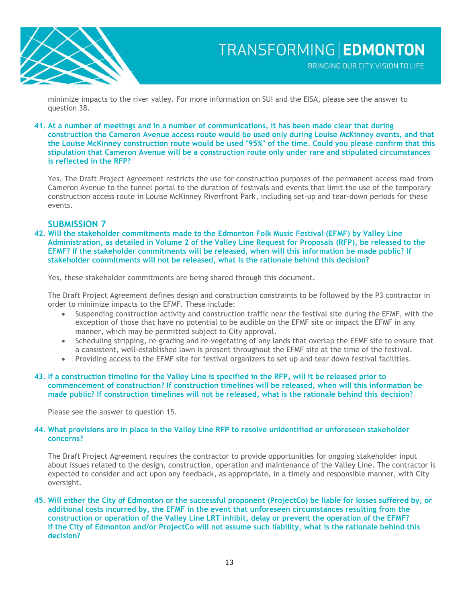

minimize impacts to the river valley. For more information on SUI and the EISA, please see the answer to question 38.

#### **41. At a number of meetings and in a number of communications, it has been made clear that during construction the Cameron Avenue access route would be used only during Louise McKinney events, and that the Louise McKinney construction route would be used "95%" of the time. Could you please confirm that this stipulation that Cameron Avenue will be a construction route only under rare and stipulated circumstances is reflected in the RFP?**

Yes. The Draft Project Agreement restricts the use for construction purposes of the permanent access road from Cameron Avenue to the tunnel portal to the duration of festivals and events that limit the use of the temporary construction access route in Louise McKinney Riverfront Park, including set-up and tear-down periods for these events.

## **SUBMISSION 7**

**42. Will the stakeholder commitments made to the Edmonton Folk Music Festival (EFMF) by Valley Line Administration, as detailed in Volume 2 of the Valley Line Request for Proposals (RFP), be released to the EFMF? If the stakeholder commitments will be released, when will this information be made public? If stakeholder commitments will not be released, what is the rationale behind this decision?**

Yes, these stakeholder commitments are being shared through this document.

The Draft Project Agreement defines design and construction constraints to be followed by the P3 contractor in order to minimize impacts to the EFMF. These include:

- Suspending construction activity and construction traffic near the festival site during the EFMF, with the exception of those that have no potential to be audible on the EFMF site or impact the EFMF in any manner, which may be permitted subject to City approval.
- Scheduling stripping, re-grading and re-vegetating of any lands that overlap the EFMF site to ensure that a consistent, well-established lawn is present throughout the EFMF site at the time of the festival.
- Providing access to the EFMF site for festival organizers to set up and tear down festival facilities.

#### **43. If a construction timeline for the Valley Line is specified in the RFP, will it be released prior to commencement of construction? If construction timelines will be released, when will this information be made public? If construction timelines will not be released, what is the rationale behind this decision?**

Please see the answer to question 15.

#### **44. What provisions are in place in the Valley Line RFP to resolve unidentified or unforeseen stakeholder concerns?**

The Draft Project Agreement requires the contractor to provide opportunities for ongoing stakeholder input about issues related to the design, construction, operation and maintenance of the Valley Line. The contractor is expected to consider and act upon any feedback, as appropriate, in a timely and responsible manner, with City oversight.

#### **45. Will either the City of Edmonton or the successful proponent (ProjectCo) be liable for losses suffered by, or additional costs incurred by, the EFMF in the event that unforeseen circumstances resulting from the construction or operation of the Valley Line LRT inhibit, delay or prevent the operation of the EFMF? If the City of Edmonton and/or ProjectCo will not assume such liability, what is the rationale behind this decision?**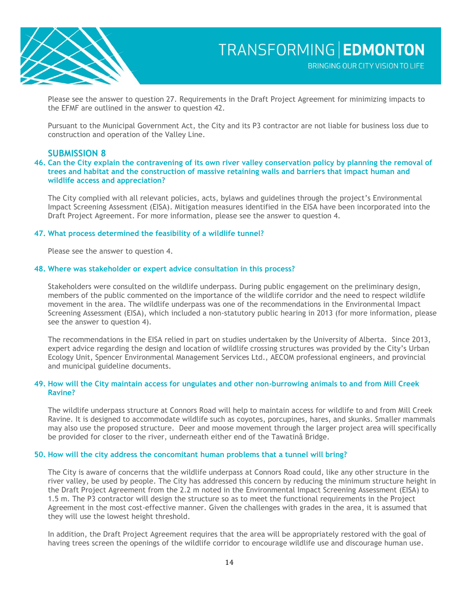

Please see the answer to question 27. Requirements in the Draft Project Agreement for minimizing impacts to the EFMF are outlined in the answer to question 42.

Pursuant to the Municipal Government Act, the City and its P3 contractor are not liable for business loss due to construction and operation of the Valley Line.

### **SUBMISSION 8**

#### **46. Can the City explain the contravening of its own river valley conservation policy by planning the removal of trees and habitat and the construction of massive retaining walls and barriers that impact human and wildlife access and appreciation?**

The City complied with all relevant policies, acts, bylaws and guidelines through the project's Environmental Impact Screening Assessment (EISA). Mitigation measures identified in the EISA have been incorporated into the Draft Project Agreement. For more information, please see the answer to question 4.

#### **47. What process determined the feasibility of a wildlife tunnel?**

Please see the answer to question 4.

#### **48. Where was stakeholder or expert advice consultation in this process?**

Stakeholders were consulted on the wildlife underpass. During public engagement on the preliminary design, members of the public commented on the importance of the wildlife corridor and the need to respect wildlife movement in the area. The wildlife underpass was one of the recommendations in the Environmental Impact Screening Assessment (EISA), which included a non-statutory public hearing in 2013 (for more information, please see the answer to question 4).

The recommendations in the EISA relied in part on studies undertaken by the University of Alberta. Since 2013, expert advice regarding the design and location of wildlife crossing structures was provided by the City's Urban Ecology Unit, Spencer Environmental Management Services Ltd., AECOM professional engineers, and provincial and municipal guideline documents.

#### **49. How will the City maintain access for ungulates and other non-burrowing animals to and from Mill Creek Ravine?**

The wildlife underpass structure at Connors Road will help to maintain access for wildlife to and from Mill Creek Ravine. It is designed to accommodate wildlife such as coyotes, porcupines, hares, and skunks. Smaller mammals may also use the proposed structure. Deer and moose movement through the larger project area will specifically be provided for closer to the river, underneath either end of the Tawatinâ Bridge.

#### **50. How will the city address the concomitant human problems that a tunnel will bring?**

The City is aware of concerns that the wildlife underpass at Connors Road could, like any other structure in the river valley, be used by people. The City has addressed this concern by reducing the minimum structure height in the Draft Project Agreement from the 2.2 m noted in the Environmental Impact Screening Assessment (EISA) to 1.5 m. The P3 contractor will design the structure so as to meet the functional requirements in the Project Agreement in the most cost-effective manner. Given the challenges with grades in the area, it is assumed that they will use the lowest height threshold.

In addition, the Draft Project Agreement requires that the area will be appropriately restored with the goal of having trees screen the openings of the wildlife corridor to encourage wildlife use and discourage human use.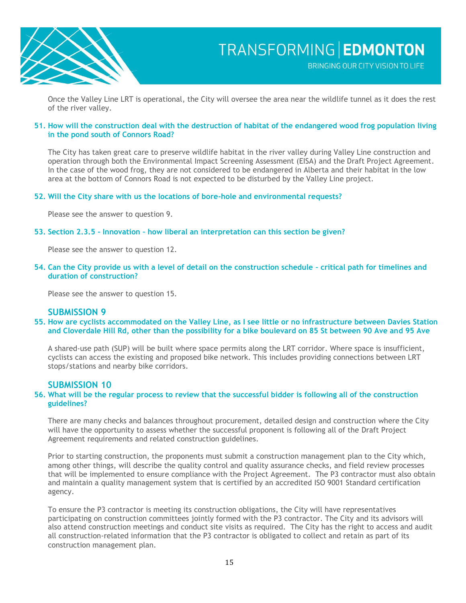

Once the Valley Line LRT is operational, the City will oversee the area near the wildlife tunnel as it does the rest of the river valley.

#### **51. How will the construction deal with the destruction of habitat of the endangered wood frog population living in the pond south of Connors Road?**

The City has taken great care to preserve wildlife habitat in the river valley during Valley Line construction and operation through both the Environmental Impact Screening Assessment (EISA) and the Draft Project Agreement. In the case of the wood frog, they are not considered to be endangered in Alberta and their habitat in the low area at the bottom of Connors Road is not expected to be disturbed by the Valley Line project.

#### **52. Will the City share with us the locations of bore-hole and environmental requests?**

Please see the answer to question 9.

#### **53. Section 2.3.5 - Innovation – how liberal an interpretation can this section be given?**

Please see the answer to question 12.

**54. Can the City provide us with a level of detail on the construction schedule – critical path for timelines and duration of construction?**

Please see the answer to question 15.

#### **SUBMISSION 9**

**55. How are cyclists accommodated on the Valley Line, as I see little or no infrastructure between Davies Station and Cloverdale Hill Rd, other than the possibility for a bike boulevard on 85 St between 90 Ave and 95 Ave**

A shared-use path (SUP) will be built where space permits along the LRT corridor. Where space is insufficient, cyclists can access the existing and proposed bike network. This includes providing connections between LRT stops/stations and nearby bike corridors.

### **SUBMISSION 10**

#### **56. What will be the regular process to review that the successful bidder is following all of the construction guidelines?**

There are many checks and balances throughout procurement, detailed design and construction where the City will have the opportunity to assess whether the successful proponent is following all of the Draft Project Agreement requirements and related construction guidelines.

Prior to starting construction, the proponents must submit a construction management plan to the City which, among other things, will describe the quality control and quality assurance checks, and field review processes that will be implemented to ensure compliance with the Project Agreement. The P3 contractor must also obtain and maintain a quality management system that is certified by an accredited ISO 9001 Standard certification agency.

To ensure the P3 contractor is meeting its construction obligations, the City will have representatives participating on construction committees jointly formed with the P3 contractor. The City and its advisors will also attend construction meetings and conduct site visits as required. The City has the right to access and audit all construction-related information that the P3 contractor is obligated to collect and retain as part of its construction management plan.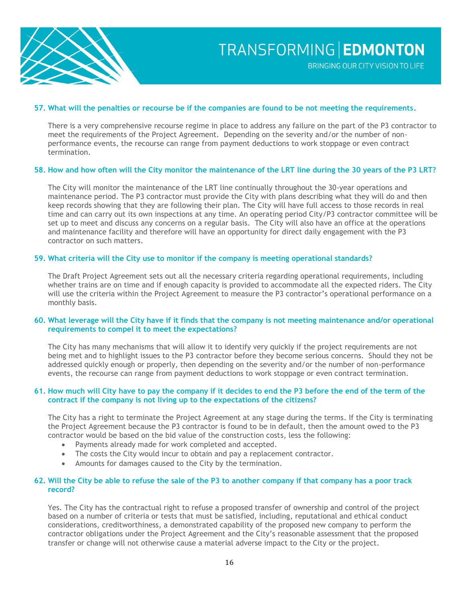

#### **57. What will the penalties or recourse be if the companies are found to be not meeting the requirements.**

There is a very comprehensive recourse regime in place to address any failure on the part of the P3 contractor to meet the requirements of the Project Agreement. Depending on the severity and/or the number of nonperformance events, the recourse can range from payment deductions to work stoppage or even contract termination.

#### **58. How and how often will the City monitor the maintenance of the LRT line during the 30 years of the P3 LRT?**

The City will monitor the maintenance of the LRT line continually throughout the 30-year operations and maintenance period. The P3 contractor must provide the City with plans describing what they will do and then keep records showing that they are following their plan. The City will have full access to those records in real time and can carry out its own inspections at any time. An operating period City/P3 contractor committee will be set up to meet and discuss any concerns on a regular basis. The City will also have an office at the operations and maintenance facility and therefore will have an opportunity for direct daily engagement with the P3 contractor on such matters.

#### **59. What criteria will the City use to monitor if the company is meeting operational standards?**

The Draft Project Agreement sets out all the necessary criteria regarding operational requirements, including whether trains are on time and if enough capacity is provided to accommodate all the expected riders. The City will use the criteria within the Project Agreement to measure the P3 contractor's operational performance on a monthly basis.

#### **60. What leverage will the City have if it finds that the company is not meeting maintenance and/or operational requirements to compel it to meet the expectations?**

The City has many mechanisms that will allow it to identify very quickly if the project requirements are not being met and to highlight issues to the P3 contractor before they become serious concerns. Should they not be addressed quickly enough or properly, then depending on the severity and/or the number of non-performance events, the recourse can range from payment deductions to work stoppage or even contract termination.

#### **61. How much will City have to pay the company if it decides to end the P3 before the end of the term of the contract if the company is not living up to the expectations of the citizens?**

The City has a right to terminate the Project Agreement at any stage during the terms. If the City is terminating the Project Agreement because the P3 contractor is found to be in default, then the amount owed to the P3 contractor would be based on the bid value of the construction costs, less the following:

- Payments already made for work completed and accepted.
- The costs the City would incur to obtain and pay a replacement contractor.
- Amounts for damages caused to the City by the termination.

#### **62. Will the City be able to refuse the sale of the P3 to another company if that company has a poor track record?**

Yes. The City has the contractual right to refuse a proposed transfer of ownership and control of the project based on a number of criteria or tests that must be satisfied, including, reputational and ethical conduct considerations, creditworthiness, a demonstrated capability of the proposed new company to perform the contractor obligations under the Project Agreement and the City's reasonable assessment that the proposed transfer or change will not otherwise cause a material adverse impact to the City or the project.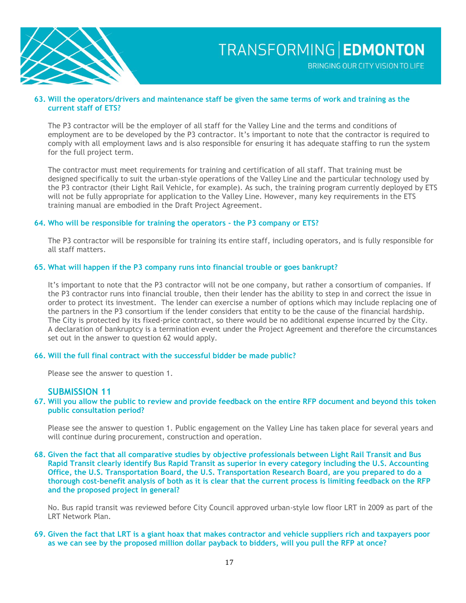

BRINGING OUR CITY VISION TO LIFE

#### **63. Will the operators/drivers and maintenance staff be given the same terms of work and training as the current staff of ETS?**

The P3 contractor will be the employer of all staff for the Valley Line and the terms and conditions of employment are to be developed by the P3 contractor. It's important to note that the contractor is required to comply with all employment laws and is also responsible for ensuring it has adequate staffing to run the system for the full project term.

The contractor must meet requirements for training and certification of all staff. That training must be designed specifically to suit the urban-style operations of the Valley Line and the particular technology used by the P3 contractor (their Light Rail Vehicle, for example). As such, the training program currently deployed by ETS will not be fully appropriate for application to the Valley Line. However, many key requirements in the ETS training manual are embodied in the Draft Project Agreement.

#### **64. Who will be responsible for training the operators - the P3 company or ETS?**

The P3 contractor will be responsible for training its entire staff, including operators, and is fully responsible for all staff matters.

#### **65. What will happen if the P3 company runs into financial trouble or goes bankrupt?**

It's important to note that the P3 contractor will not be one company, but rather a consortium of companies. If the P3 contractor runs into financial trouble, then their lender has the ability to step in and correct the issue in order to protect its investment. The lender can exercise a number of options which may include replacing one of the partners in the P3 consortium if the lender considers that entity to be the cause of the financial hardship. The City is protected by its fixed-price contract, so there would be no additional expense incurred by the City. A declaration of bankruptcy is a termination event under the Project Agreement and therefore the circumstances set out in the answer to question 62 would apply.

#### **66. Will the full final contract with the successful bidder be made public?**

Please see the answer to question 1.

#### **SUBMISSION 11**

**67. Will you allow the public to review and provide feedback on the entire RFP document and beyond this token public consultation period?**

Please see the answer to question 1. Public engagement on the Valley Line has taken place for several years and will continue during procurement, construction and operation.

**68. Given the fact that all comparative studies by objective professionals between Light Rail Transit and Bus Rapid Transit clearly identify Bus Rapid Transit as superior in every category including the U.S. Accounting Office, the U.S. Transportation Board, the U.S. Transportation Research Board, are you prepared to do a thorough cost-benefit analysis of both as it is clear that the current process is limiting feedback on the RFP and the proposed project in general?**

No. Bus rapid transit was reviewed before City Council approved urban-style low floor LRT in 2009 as part of the LRT Network Plan.

**69. Given the fact that LRT is a giant hoax that makes contractor and vehicle suppliers rich and taxpayers poor as we can see by the proposed million dollar payback to bidders, will you pull the RFP at once?**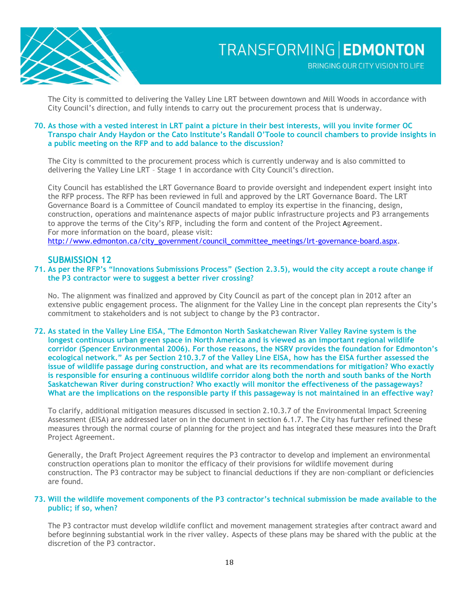

BRINGING OUR CITY VISION TO LIFE

The City is committed to delivering the Valley Line LRT between downtown and Mill Woods in accordance with City Council's direction, and fully intends to carry out the procurement process that is underway.

#### **70. As those with a vested interest in LRT paint a picture in their best interests, will you invite former OC Transpo chair Andy Haydon or the Cato Institute's Randall O'Toole to council chambers to provide insights in a public meeting on the RFP and to add balance to the discussion?**

The City is committed to the procurement process which is currently underway and is also committed to delivering the Valley Line LRT – Stage 1 in accordance with City Council's direction.

City Council has established the LRT Governance Board to provide oversight and independent expert insight into the RFP process. The RFP has been reviewed in full and approved by the LRT Governance Board. The LRT Governance Board is a Committee of Council mandated to employ its expertise in the financing, design, construction, operations and maintenance aspects of major public infrastructure projects and P3 arrangements to approve the terms of the City's RFP, including the form and content of the Project Agreement. For more information on the board, please visit: [http://www.edmonton.ca/city\\_government/council\\_committee\\_meetings/lrt-governance-board.aspx.](http://www.edmonton.ca/city_government/council_committee_meetings/lrt-governance-board.aspx)

### **SUBMISSION 12**

#### **71. As per the RFP's "Innovations Submissions Process" (Section 2.3.5), would the city accept a route change if the P3 contractor were to suggest a better river crossing?**

No. The alignment was finalized and approved by City Council as part of the concept plan in 2012 after an extensive public engagement process. The alignment for the Valley Line in the concept plan represents the City's commitment to stakeholders and is not subject to change by the P3 contractor.

**72. As stated in the Valley Line EISA, "The Edmonton North Saskatchewan River Valley Ravine system is the longest continuous urban green space in North America and is viewed as an important regional wildlife corridor (Spencer Environmental 2006). For those reasons, the NSRV provides the foundation for Edmonton's ecological network." As per Section 210.3.7 of the Valley Line EISA, how has the EISA further assessed the issue of wildlife passage during construction, and what are its recommendations for mitigation? Who exactly is responsible for ensuring a continuous wildlife corridor along both the north and south banks of the North Saskatchewan River during construction? Who exactly will monitor the effectiveness of the passageways? What are the implications on the responsible party if this passageway is not maintained in an effective way?**

To clarify, additional mitigation measures discussed in section 2.10.3.7 of the Environmental Impact Screening Assessment (EISA) are addressed later on in the document in section 6.1.7. The City has further refined these measures through the normal course of planning for the project and has integrated these measures into the Draft Project Agreement.

Generally, the Draft Project Agreement requires the P3 contractor to develop and implement an environmental construction operations plan to monitor the efficacy of their provisions for wildlife movement during construction. The P3 contractor may be subject to financial deductions if they are non–compliant or deficiencies are found.

#### **73. Will the wildlife movement components of the P3 contractor's technical submission be made available to the public; if so, when?**

The P3 contractor must develop wildlife conflict and movement management strategies after contract award and before beginning substantial work in the river valley. Aspects of these plans may be shared with the public at the discretion of the P3 contractor.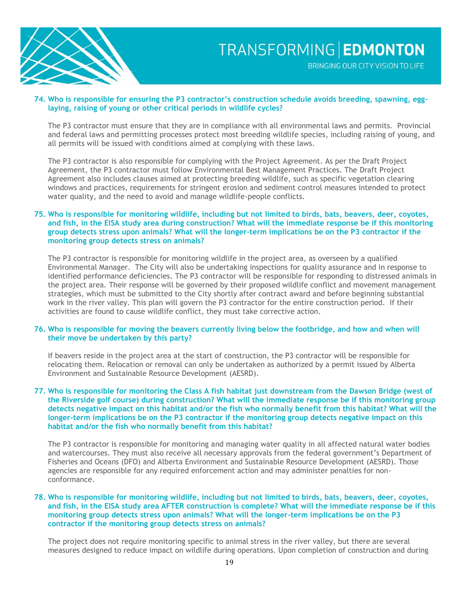

BRINGING OUR CITY VISION TO LIFE

#### **74. Who is responsible for ensuring the P3 contractor's construction schedule avoids breeding, spawning, egglaying, raising of young or other critical periods in wildlife cycles?**

The P3 contractor must ensure that they are in compliance with all environmental laws and permits. Provincial and federal laws and permitting processes protect most breeding wildlife species, including raising of young, and all permits will be issued with conditions aimed at complying with these laws.

The P3 contractor is also responsible for complying with the Project Agreement. As per the Draft Project Agreement, the P3 contractor must follow Environmental Best Management Practices. The Draft Project Agreement also includes clauses aimed at protecting breeding wildlife, such as specific vegetation clearing windows and practices, requirements for stringent erosion and sediment control measures intended to protect water quality, and the need to avoid and manage wildlife-people conflicts.

### **75. Who is responsible for monitoring wildlife, including but not limited to birds, bats, beavers, deer, coyotes, and fish, in the EISA study area during construction? What will the immediate response be if this monitoring group detects stress upon animals? What will the longer-term implications be on the P3 contractor if the monitoring group detects stress on animals?**

The P3 contractor is responsible for monitoring wildlife in the project area, as overseen by a qualified Environmental Manager. The City will also be undertaking inspections for quality assurance and in response to identified performance deficiencies. The P3 contractor will be responsible for responding to distressed animals in the project area. Their response will be governed by their proposed wildlife conflict and movement management strategies, which must be submitted to the City shortly after contract award and before beginning substantial work in the river valley. This plan will govern the P3 contractor for the entire construction period. If their activities are found to cause wildlife conflict, they must take corrective action.

#### **76. Who is responsible for moving the beavers currently living below the footbridge, and how and when will their move be undertaken by this party?**

If beavers reside in the project area at the start of construction, the P3 contractor will be responsible for relocating them. Relocation or removal can only be undertaken as authorized by a permit issued by Alberta Environment and Sustainable Resource Development (AESRD).

#### **77. Who is responsible for monitoring the Class A fish habitat just downstream from the Dawson Bridge (west of the Riverside golf course) during construction? What will the immediate response be if this monitoring group detects negative impact on this habitat and/or the fish who normally benefit from this habitat? What will the longer-term implications be on the P3 contractor if the monitoring group detects negative impact on this habitat and/or the fish who normally benefit from this habitat?**

The P3 contractor is responsible for monitoring and managing water quality in all affected natural water bodies and watercourses. They must also receive all necessary approvals from the federal government's Department of Fisheries and Oceans (DFO) and Alberta Environment and Sustainable Resource Development (AESRD). Those agencies are responsible for any required enforcement action and may administer penalties for nonconformance.

#### **78. Who is responsible for monitoring wildlife, including but not limited to birds, bats, beavers, deer, coyotes, and fish, in the EISA study area AFTER construction is complete? What will the immediate response be if this monitoring group detects stress upon animals? What will the longer-term implications be on the P3 contractor if the monitoring group detects stress on animals?**

The project does not require monitoring specific to animal stress in the river valley, but there are several measures designed to reduce impact on wildlife during operations. Upon completion of construction and during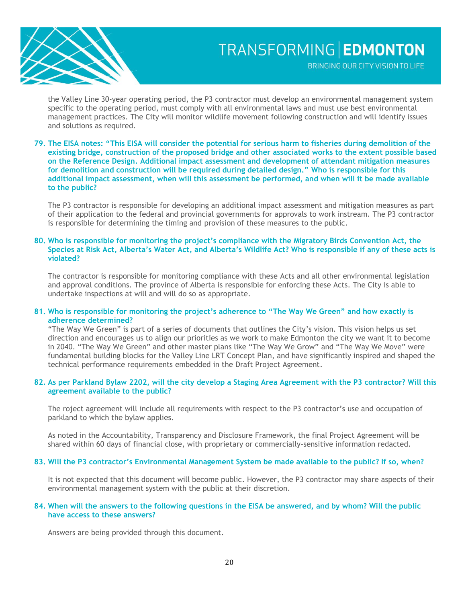

BRINGING OUR CITY VISION TO LIFE

the Valley Line 30-year operating period, the P3 contractor must develop an environmental management system specific to the operating period, must comply with all environmental laws and must use best environmental management practices. The City will monitor wildlife movement following construction and will identify issues and solutions as required.

#### **79. The EISA notes: "This EISA will consider the potential for serious harm to fisheries during demolition of the existing bridge, construction of the proposed bridge and other associated works to the extent possible based on the Reference Design. Additional impact assessment and development of attendant mitigation measures for demolition and construction will be required during detailed design." Who is responsible for this additional impact assessment, when will this assessment be performed, and when will it be made available to the public?**

The P3 contractor is responsible for developing an additional impact assessment and mitigation measures as part of their application to the federal and provincial governments for approvals to work instream. The P3 contractor is responsible for determining the timing and provision of these measures to the public.

#### **80. Who is responsible for monitoring the project's compliance with the Migratory Birds Convention Act, the Species at Risk Act, Alberta's Water Act, and Alberta's Wildlife Act? Who is responsible if any of these acts is violated?**

The contractor is responsible for monitoring compliance with these Acts and all other environmental legislation and approval conditions. The province of Alberta is responsible for enforcing these Acts. The City is able to undertake inspections at will and will do so as appropriate.

#### **81. Who is responsible for monitoring the project's adherence to "The Way We Green" and how exactly is adherence determined?**

"The Way We Green" is part of a series of documents that outlines the City's vision. This vision helps us set direction and encourages us to align our priorities as we work to make Edmonton the city we want it to become in 2040. "The Way We Green" and other master plans like "The Way We Grow" and "The Way We Move" were fundamental building blocks for the Valley Line LRT Concept Plan, and have significantly inspired and shaped the technical performance requirements embedded in the Draft Project Agreement.

#### **82. As per Parkland Bylaw 2202, will the city develop a Staging Area Agreement with the P3 contractor? Will this agreement available to the public?**

The roject agreement will include all requirements with respect to the P3 contractor's use and occupation of parkland to which the bylaw applies.

As noted in the Accountability, Transparency and Disclosure Framework, the final Project Agreement will be shared within 60 days of financial close, with proprietary or commercially-sensitive information redacted.

#### **83. Will the P3 contractor's Environmental Management System be made available to the public? If so, when?**

It is not expected that this document will become public. However, the P3 contractor may share aspects of their environmental management system with the public at their discretion.

#### **84. When will the answers to the following questions in the EISA be answered, and by whom? Will the public have access to these answers?**

Answers are being provided through this document.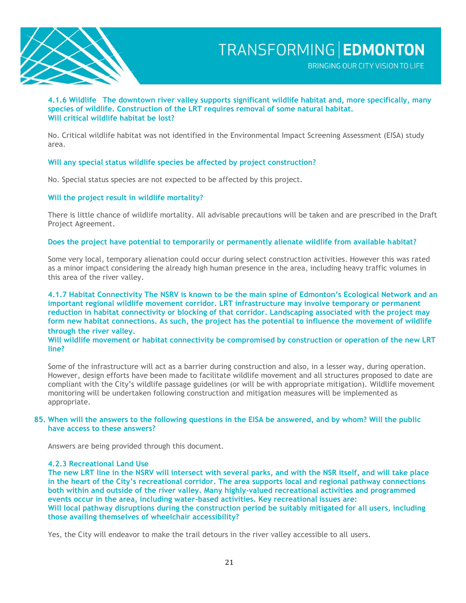

BRINGING OUR CITY VISION TO LIFE

#### **4.1.6 Wildlife The downtown river valley supports significant wildlife habitat and, more specifically, many species of wildlife. Construction of the LRT requires removal of some natural habitat. Will critical wildlife habitat be lost?**

No. Critical wildlife habitat was not identified in the Environmental Impact Screening Assessment (EISA) study area.

#### **Will any special status wildlife species be affected by project construction?**

No. Special status species are not expected to be affected by this project.

#### **Will the project result in wildlife mortality?**

There is little chance of wildlife mortality. All advisable precautions will be taken and are prescribed in the Draft Project Agreement.

#### **Does the project have potential to temporarily or permanently alienate wildlife from available habitat?**

Some very local, temporary alienation could occur during select construction activities. However this was rated as a minor impact considering the already high human presence in the area, including heavy traffic volumes in this area of the river valley.

**4.1.7 Habitat Connectivity The NSRV is known to be the main spine of Edmonton's Ecological Network and an important regional wildlife movement corridor. LRT infrastructure may involve temporary or permanent reduction in habitat connectivity or blocking of that corridor. Landscaping associated with the project may form new habitat connections. As such, the project has the potential to influence the movement of wildlife through the river valley.** 

#### **Will wildlife movement or habitat connectivity be compromised by construction or operation of the new LRT line?**

Some of the infrastructure will act as a barrier during construction and also, in a lesser way, during operation. However, design efforts have been made to facilitate wildlife movement and all structures proposed to date are compliant with the City's wildlife passage guidelines (or will be with appropriate mitigation). Wildlife movement monitoring will be undertaken following construction and mitigation measures will be implemented as appropriate.

#### **85. When will the answers to the following questions in the EISA be answered, and by whom? Will the public have access to these answers?**

Answers are being provided through this document.

#### **4.2.3 Recreational Land Use**

**The new LRT line in the NSRV will intersect with several parks, and with the NSR itself, and will take place in the heart of the City's recreational corridor. The area supports local and regional pathway connections both within and outside of the river valley. Many highly-valued recreational activities and programmed events occur in the area, including water-based activities. Key recreational issues are: Will local pathway disruptions during the construction period be suitably mitigated for all users, including those availing themselves of wheelchair accessibility?**

Yes, the City will endeavor to make the trail detours in the river valley accessible to all users.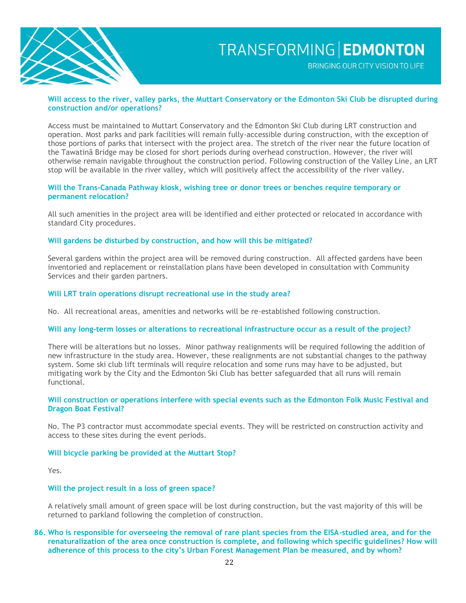

BRINGING OUR CITY VISION TO LIFE

#### **Will access to the river, valley parks, the Muttart Conservatory or the Edmonton Ski Club be disrupted during construction and/or operations?**

Access must be maintained to Muttart Conservatory and the Edmonton Ski Club during LRT construction and operation. Most parks and park facilities will remain fully-accessible during construction, with the exception of those portions of parks that intersect with the project area. The stretch of the river near the future location of the Tawatinâ Bridge may be closed for short periods during overhead construction. However, the river will otherwise remain navigable throughout the construction period. Following construction of the Valley Line, an LRT stop will be available in the river valley, which will positively affect the accessibility of the river valley.

#### **Will the Trans-Canada Pathway kiosk, wishing tree or donor trees or benches require temporary or permanent relocation?**

All such amenities in the project area will be identified and either protected or relocated in accordance with standard City procedures.

#### **Will gardens be disturbed by construction, and how will this be mitigated?**

Several gardens within the project area will be removed during construction. All affected gardens have been inventoried and replacement or reinstallation plans have been developed in consultation with Community Services and their garden partners.

#### **Will LRT train operations disrupt recreational use in the study area?**

No. All recreational areas, amenities and networks will be re-established following construction.

#### **Will any long-term losses or alterations to recreational infrastructure occur as a result of the project?**

There will be alterations but no losses. Minor pathway realignments will be required following the addition of new infrastructure in the study area. However, these realignments are not substantial changes to the pathway system. Some ski club lift terminals will require relocation and some runs may have to be adjusted, but mitigating work by the City and the Edmonton Ski Club has better safeguarded that all runs will remain functional.

#### **Will construction or operations interfere with special events such as the Edmonton Folk Music Festival and Dragon Boat Festival?**

No. The P3 contractor must accommodate special events. They will be restricted on construction activity and access to these sites during the event periods.

#### **Will bicycle parking be provided at the Muttart Stop?**

Yes.

#### **Will the project result in a loss of green space?**

A relatively small amount of green space will be lost during construction, but the vast majority of this will be returned to parkland following the completion of construction.

#### **86. Who is responsible for overseeing the removal of rare plant species from the EISA-studied area, and for the renaturalization of the area once construction is complete, and following which specific guidelines? How will adherence of this process to the city's Urban Forest Management Plan be measured, and by whom?**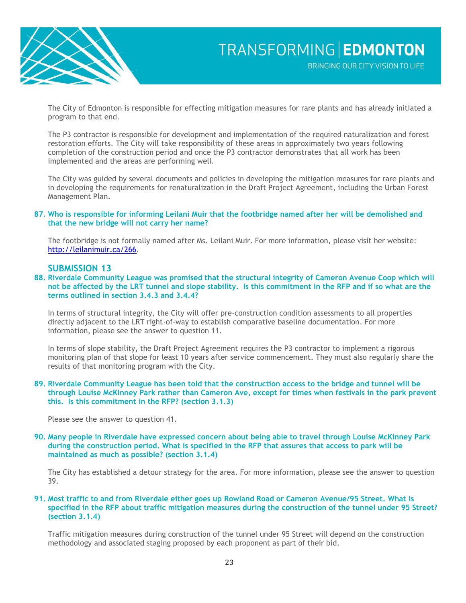

The City of Edmonton is responsible for effecting mitigation measures for rare plants and has already initiated a program to that end.

The P3 contractor is responsible for development and implementation of the required naturalization and forest restoration efforts. The City will take responsibility of these areas in approximately two years following completion of the construction period and once the P3 contractor demonstrates that all work has been implemented and the areas are performing well.

The City was guided by several documents and policies in developing the mitigation measures for rare plants and in developing the requirements for renaturalization in the Draft Project Agreement, including the Urban Forest Management Plan.

**87. Who is responsible for informing Leilani Muir that the footbridge named after her will be demolished and that the new bridge will not carry her name?**

The footbridge is not formally named after Ms. Leilani Muir. For more information, please visit her website: [http://leilanimuir.ca/266.](http://leilanimuir.ca/266)

### **SUBMISSION 13**

**88. Riverdale Community League was promised that the structural integrity of Cameron Avenue Coop which will not be affected by the LRT tunnel and slope stability. Is this commitment in the RFP and if so what are the terms outlined in section 3.4.3 and 3.4.4?**

In terms of structural integrity, the City will offer pre-construction condition assessments to all properties directly adjacent to the LRT right-of-way to establish comparative baseline documentation. For more information, please see the answer to question 11.

In terms of slope stability, the Draft Project Agreement requires the P3 contractor to implement a rigorous monitoring plan of that slope for least 10 years after service commencement. They must also regularly share the results of that monitoring program with the City.

**89. Riverdale Community League has been told that the construction access to the bridge and tunnel will be through Louise McKinney Park rather than Cameron Ave, except for times when festivals in the park prevent this. Is this commitment in the RFP? (section 3.1.3)**

Please see the answer to question 41.

**90. Many people in Riverdale have expressed concern about being able to travel through Louise McKinney Park during the construction period. What is specified in the RFP that assures that access to park will be maintained as much as possible? (section 3.1.4)**

The City has established a detour strategy for the area. For more information, please see the answer to question 39.

#### **91. Most traffic to and from Riverdale either goes up Rowland Road or Cameron Avenue/95 Street. What is specified in the RFP about traffic mitigation measures during the construction of the tunnel under 95 Street? (section 3.1.4)**

Traffic mitigation measures during construction of the tunnel under 95 Street will depend on the construction methodology and associated staging proposed by each proponent as part of their bid.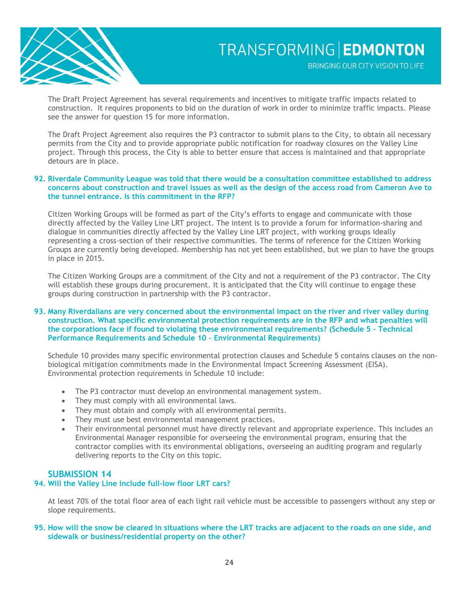

The Draft Project Agreement has several requirements and incentives to mitigate traffic impacts related to construction. It requires proponents to bid on the duration of work in order to minimize traffic impacts. Please see the answer for question 15 for more information.

The Draft Project Agreement also requires the P3 contractor to submit plans to the City, to obtain all necessary permits from the City and to provide appropriate public notification for roadway closures on the Valley Line project. Through this process, the City is able to better ensure that access is maintained and that appropriate detours are in place.

#### **92. Riverdale Community League was told that there would be a consultation committee established to address concerns about construction and travel issues as well as the design of the access road from Cameron Ave to the tunnel entrance. Is this commitment in the RFP?**

Citizen Working Groups will be formed as part of the City's efforts to engage and communicate with those directly affected by the Valley Line LRT project. The intent is to provide a forum for information-sharing and dialogue in communities directly affected by the Valley Line LRT project, with working groups ideally representing a cross-section of their respective communities. The terms of reference for the Citizen Working Groups are currently being developed. Membership has not yet been established, but we plan to have the groups in place in 2015.

The Citizen Working Groups are a commitment of the City and not a requirement of the P3 contractor. The City will establish these groups during procurement. It is anticipated that the City will continue to engage these groups during construction in partnership with the P3 contractor.

#### **93. Many Riverdalians are very concerned about the environmental impact on the river and river valley during construction. What specific environmental protection requirements are in the RFP and what penalties will the corporations face if found to violating these environmental requirements? (Schedule 5 – Technical Performance Requirements and Schedule 10 – Environmental Requirements)**

Schedule 10 provides many specific environmental protection clauses and Schedule 5 contains clauses on the nonbiological mitigation commitments made in the Environmental Impact Screening Assessment (EISA). Environmental protection requirements in Schedule 10 include:

- The P3 contractor must develop an environmental management system.
- They must comply with all environmental laws.
- They must obtain and comply with all environmental permits.
- They must use best environmental management practices.
- Their environmental personnel must have directly relevant and appropriate experience. This includes an Environmental Manager responsible for overseeing the environmental program, ensuring that the contractor complies with its environmental obligations, overseeing an auditing program and regularly delivering reports to the City on this topic.

## **SUBMISSION 14**

#### **94. Will the Valley Line include full-low floor LRT cars?**

At least 70% of the total floor area of each light rail vehicle must be accessible to passengers without any step or slope requirements.

#### **95. How will the snow be cleared in situations where the LRT tracks are adjacent to the roads on one side, and sidewalk or business/residential property on the other?**